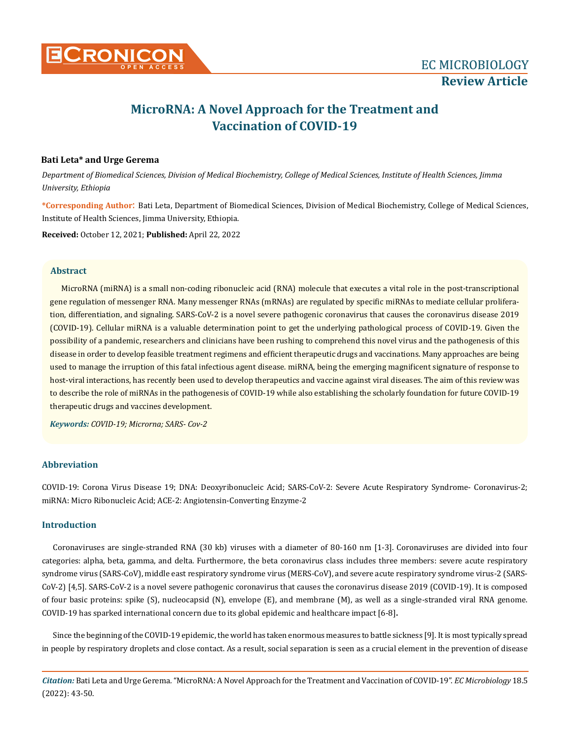

# **MicroRNA: A Novel Approach for the Treatment and Vaccination of COVID-19**

# **Bati Leta\* and Urge Gerema**

*Department of Biomedical Sciences, Division of Medical Biochemistry, College of Medical Sciences, Institute of Health Sciences, Jimma University, Ethiopia*

**\*Corresponding Author**: Bati Leta, Department of Biomedical Sciences, Division of Medical Biochemistry, College of Medical Sciences, Institute of Health Sciences, Jimma University, Ethiopia.

**Received:** October 12, 2021; **Published:** April 22, 2022

# **Abstract**

MicroRNA (miRNA) is a small non-coding ribonucleic acid (RNA) molecule that executes a vital role in the post-transcriptional gene regulation of messenger RNA. Many messenger RNAs (mRNAs) are regulated by specific miRNAs to mediate cellular proliferation, differentiation, and signaling. SARS-CoV-2 is a novel severe pathogenic coronavirus that causes the coronavirus disease 2019 (COVID-19). Cellular miRNA is a valuable determination point to get the underlying pathological process of COVID-19. Given the possibility of a pandemic, researchers and clinicians have been rushing to comprehend this novel virus and the pathogenesis of this disease in order to develop feasible treatment regimens and efficient therapeutic drugs and vaccinations. Many approaches are being used to manage the irruption of this fatal infectious agent disease. miRNA, being the emerging magnificent signature of response to host-viral interactions, has recently been used to develop therapeutics and vaccine against viral diseases. The aim of this review was to describe the role of miRNAs in the pathogenesis of COVID-19 while also establishing the scholarly foundation for future COVID-19 therapeutic drugs and vaccines development.

*Keywords: COVID-19; Microrna; SARS- Cov-2*

# **Abbreviation**

COVID-19: Corona Virus Disease 19; DNA: Deoxyribonucleic Acid; SARS-CoV-2: Severe Acute Respiratory Syndrome- Coronavirus-2; miRNA: Micro Ribonucleic Acid; ACE-2: Angiotensin-Converting Enzyme-2

## **Introduction**

Coronaviruses are single-stranded RNA (30 kb) viruses with a diameter of 80-160 nm [1-3]. Coronaviruses are divided into four categories: alpha, beta, gamma, and delta. Furthermore, the beta coronavirus class includes three members: severe acute respiratory syndrome virus (SARS-CoV), middle east respiratory syndrome virus (MERS-CoV), and severe acute respiratory syndrome virus-2 (SARS-CoV-2) [4,5]. SARS-CoV-2 is a novel severe pathogenic coronavirus that causes the coronavirus disease 2019 (COVID-19). It is composed of four basic proteins: spike (S), nucleocapsid (N), envelope (E), and membrane (M), as well as a single-stranded viral RNA genome. COVID-19 has sparked international concern due to its global epidemic and healthcare impact [6-8]**.**

Since the beginning of the COVID-19 epidemic, the world has taken enormous measures to battle sickness [9]. It is most typically spread in people by respiratory droplets and close contact. As a result, social separation is seen as a crucial element in the prevention of disease

*Citation:* Bati Leta and Urge Gerema*.* "MicroRNA: A Novel Approach for the Treatment and Vaccination of COVID-19". *EC Microbiology* 18.5 (2022): 43-50.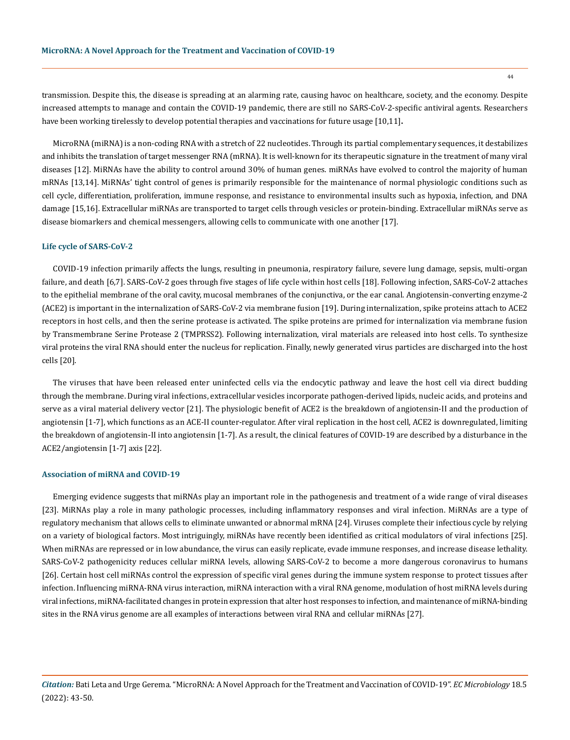transmission. Despite this, the disease is spreading at an alarming rate, causing havoc on healthcare, society, and the economy. Despite increased attempts to manage and contain the COVID-19 pandemic, there are still no SARS-CoV-2-specific antiviral agents. Researchers have been working tirelessly to develop potential therapies and vaccinations for future usage [10,11]**.** 

MicroRNA (miRNA) is a non-coding RNA with a stretch of 22 nucleotides. Through its partial complementary sequences, it destabilizes and inhibits the translation of target messenger RNA (mRNA). It is well-known for its therapeutic signature in the treatment of many viral diseases [12]. MiRNAs have the ability to control around 30% of human genes. miRNAs have evolved to control the majority of human mRNAs [13,14]. MiRNAs' tight control of genes is primarily responsible for the maintenance of normal physiologic conditions such as cell cycle, differentiation, proliferation, immune response, and resistance to environmental insults such as hypoxia, infection, and DNA damage [15,16]. Extracellular miRNAs are transported to target cells through vesicles or protein-binding. Extracellular miRNAs serve as disease biomarkers and chemical messengers, allowing cells to communicate with one another [17].

#### **Life cycle of SARS-CoV-2**

COVID-19 infection primarily affects the lungs, resulting in pneumonia, respiratory failure, severe lung damage, sepsis, multi-organ failure, and death [6,7]. SARS-CoV-2 goes through five stages of life cycle within host cells [18]. Following infection, SARS-CoV-2 attaches to the epithelial membrane of the oral cavity, mucosal membranes of the conjunctiva, or the ear canal. Angiotensin-converting enzyme-2 (ACE2) is important in the internalization of SARS-CoV-2 via membrane fusion [19]. During internalization, spike proteins attach to ACE2 receptors in host cells, and then the serine protease is activated. The spike proteins are primed for internalization via membrane fusion by Transmembrane Serine Protease 2 (TMPRSS2). Following internalization, viral materials are released into host cells. To synthesize viral proteins the viral RNA should enter the nucleus for replication. Finally, newly generated virus particles are discharged into the host cells [20].

The viruses that have been released enter uninfected cells via the endocytic pathway and leave the host cell via direct budding through the membrane. During viral infections, extracellular vesicles incorporate pathogen-derived lipids, nucleic acids, and proteins and serve as a viral material delivery vector [21]. The physiologic benefit of ACE2 is the breakdown of angiotensin-II and the production of angiotensin [1-7], which functions as an ACE-II counter-regulator. After viral replication in the host cell, ACE2 is downregulated, limiting the breakdown of angiotensin-II into angiotensin [1-7]. As a result, the clinical features of COVID-19 are described by a disturbance in the ACE2/angiotensin [1-7] axis [22].

### **Association of miRNA and COVID-19**

Emerging evidence suggests that miRNAs play an important role in the pathogenesis and treatment of a wide range of viral diseases [23]. MiRNAs play a role in many pathologic processes, including inflammatory responses and viral infection. MiRNAs are a type of regulatory mechanism that allows cells to eliminate unwanted or abnormal mRNA [24]. Viruses complete their infectious cycle by relying on a variety of biological factors. Most intriguingly, miRNAs have recently been identified as critical modulators of viral infections [25]. When miRNAs are repressed or in low abundance, the virus can easily replicate, evade immune responses, and increase disease lethality. SARS-CoV-2 pathogenicity reduces cellular miRNA levels, allowing SARS-CoV-2 to become a more dangerous coronavirus to humans [26]. Certain host cell miRNAs control the expression of specific viral genes during the immune system response to protect tissues after infection. Influencing miRNA-RNA virus interaction, miRNA interaction with a viral RNA genome, modulation of host miRNA levels during viral infections, miRNA-facilitated changes in protein expression that alter host responses to infection, and maintenance of miRNA-binding sites in the RNA virus genome are all examples of interactions between viral RNA and cellular miRNAs [27].

*Citation:* Bati Leta and Urge Gerema*.* "MicroRNA: A Novel Approach for the Treatment and Vaccination of COVID-19". *EC Microbiology* 18.5 (2022): 43-50.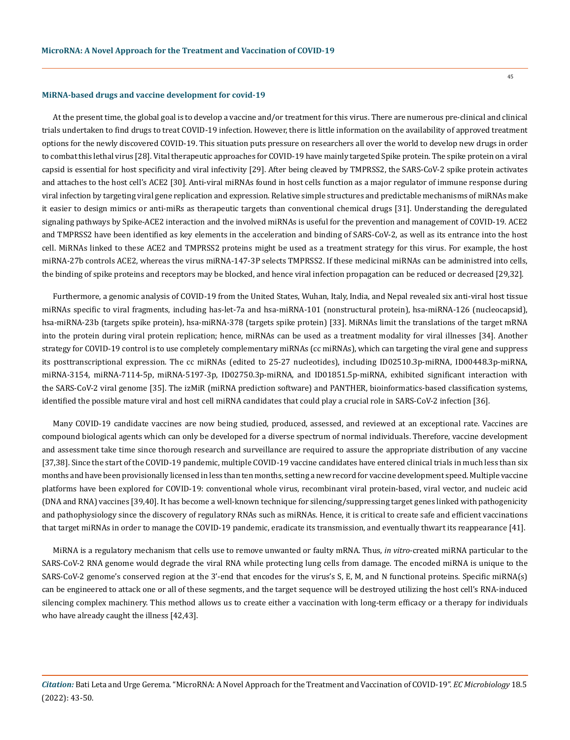#### **MiRNA-based drugs and vaccine development for covid-19**

At the present time, the global goal is to develop a vaccine and/or treatment for this virus. There are numerous pre-clinical and clinical trials undertaken to find drugs to treat COVID-19 infection. However, there is little information on the availability of approved treatment options for the newly discovered COVID-19. This situation puts pressure on researchers all over the world to develop new drugs in order to combat this lethal virus [28]. Vital therapeutic approaches for COVID-19 have mainly targeted Spike protein. The spike protein on a viral capsid is essential for host specificity and viral infectivity [29]. After being cleaved by TMPRSS2, the SARS-CoV-2 spike protein activates and attaches to the host cell's ACE2 [30]. Anti-viral miRNAs found in host cells function as a major regulator of immune response during viral infection by targeting viral gene replication and expression. Relative simple structures and predictable mechanisms of miRNAs make it easier to design mimics or anti-miRs as therapeutic targets than conventional chemical drugs [31]. Understanding the deregulated signaling pathways by Spike-ACE2 interaction and the involved miRNAs is useful for the prevention and management of COVID-19. ACE2 and TMPRSS2 have been identified as key elements in the acceleration and binding of SARS-CoV-2, as well as its entrance into the host cell. MiRNAs linked to these ACE2 and TMPRSS2 proteins might be used as a treatment strategy for this virus. For example, the host miRNA-27b controls ACE2, whereas the virus miRNA-147-3P selects TMPRSS2. If these medicinal miRNAs can be administred into cells, the binding of spike proteins and receptors may be blocked, and hence viral infection propagation can be reduced or decreased [29,32].

Furthermore, a genomic analysis of COVID-19 from the United States, Wuhan, Italy, India, and Nepal revealed six anti-viral host tissue miRNAs specific to viral fragments, including has-let-7a and hsa-miRNA-101 (nonstructural protein), hsa-miRNA-126 (nucleocapsid), hsa-miRNA-23b (targets spike protein), hsa-miRNA-378 (targets spike protein) [33]. MiRNAs limit the translations of the target mRNA into the protein during viral protein replication; hence, miRNAs can be used as a treatment modality for viral illnesses [34]. Another strategy for COVID-19 control is to use completely complementary miRNAs (cc miRNAs), which can targeting the viral gene and suppress its posttranscriptional expression. The cc miRNAs (edited to 25-27 nucleotides), including ID02510.3p-miRNA, ID00448.3p-miRNA, miRNA-3154, miRNA-7114-5p, miRNA-5197-3p, ID02750.3p-miRNA, and ID01851.5p-miRNA, exhibited significant interaction with the SARS-CoV-2 viral genome [35]. The izMiR (miRNA prediction software) and PANTHER, bioinformatics-based classification systems, identified the possible mature viral and host cell miRNA candidates that could play a crucial role in SARS-CoV-2 infection [36].

Many COVID-19 candidate vaccines are now being studied, produced, assessed, and reviewed at an exceptional rate. Vaccines are compound biological agents which can only be developed for a diverse spectrum of normal individuals. Therefore, vaccine development and assessment take time since thorough research and surveillance are required to assure the appropriate distribution of any vaccine [37,38]. Since the start of the COVID-19 pandemic, multiple COVID-19 vaccine candidates have entered clinical trials in much less than six months and have been provisionally licensed in less than ten months, setting a new record for vaccine development speed. Multiple vaccine platforms have been explored for COVID-19: conventional whole virus, recombinant viral protein-based, viral vector, and nucleic acid (DNA and RNA) vaccines [39,40]. It has become a well-known technique for silencing/suppressing target genes linked with pathogenicity and pathophysiology since the discovery of regulatory RNAs such as miRNAs. Hence, it is critical to create safe and efficient vaccinations that target miRNAs in order to manage the COVID-19 pandemic, eradicate its transmission, and eventually thwart its reappearance [41].

MiRNA is a regulatory mechanism that cells use to remove unwanted or faulty mRNA. Thus, *in vitro*-created miRNA particular to the SARS-CoV-2 RNA genome would degrade the viral RNA while protecting lung cells from damage. The encoded miRNA is unique to the SARS-CoV-2 genome's conserved region at the 3'-end that encodes for the virus's S, E, M, and N functional proteins. Specific miRNA(s) can be engineered to attack one or all of these segments, and the target sequence will be destroyed utilizing the host cell's RNA-induced silencing complex machinery. This method allows us to create either a vaccination with long-term efficacy or a therapy for individuals who have already caught the illness [42,43].

*Citation:* Bati Leta and Urge Gerema*.* "MicroRNA: A Novel Approach for the Treatment and Vaccination of COVID-19". *EC Microbiology* 18.5 (2022): 43-50.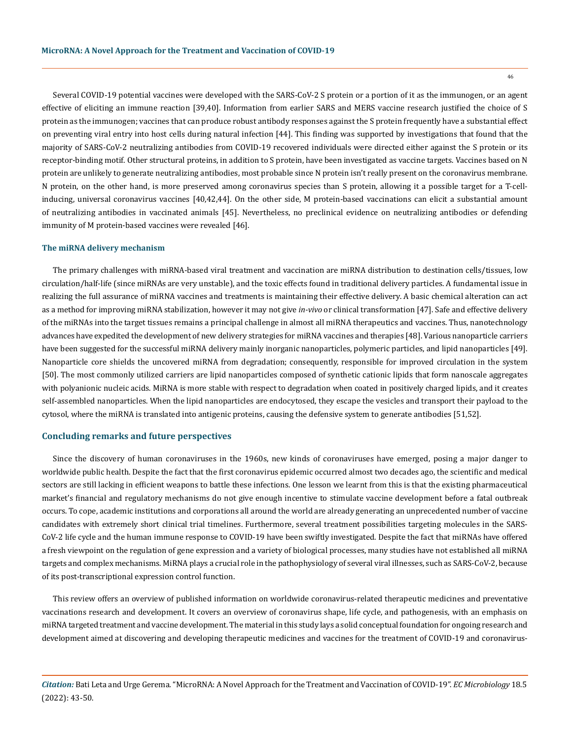Several COVID-19 potential vaccines were developed with the SARS-CoV-2 S protein or a portion of it as the immunogen, or an agent effective of eliciting an immune reaction [39,40]. Information from earlier SARS and MERS vaccine research justified the choice of S protein as the immunogen; vaccines that can produce robust antibody responses against the S protein frequently have a substantial effect on preventing viral entry into host cells during natural infection [44]. This finding was supported by investigations that found that the majority of SARS-CoV-2 neutralizing antibodies from COVID-19 recovered individuals were directed either against the S protein or its receptor-binding motif. Other structural proteins, in addition to S protein, have been investigated as vaccine targets. Vaccines based on N protein are unlikely to generate neutralizing antibodies, most probable since N protein isn't really present on the coronavirus membrane. N protein, on the other hand, is more preserved among coronavirus species than S protein, allowing it a possible target for a T-cellinducing, universal coronavirus vaccines [40,42,44]. On the other side, M protein-based vaccinations can elicit a substantial amount of neutralizing antibodies in vaccinated animals [45]. Nevertheless, no preclinical evidence on neutralizing antibodies or defending immunity of M protein-based vaccines were revealed [46].

#### **The miRNA delivery mechanism**

The primary challenges with miRNA-based viral treatment and vaccination are miRNA distribution to destination cells/tissues, low circulation/half-life (since miRNAs are very unstable), and the toxic effects found in traditional delivery particles. A fundamental issue in realizing the full assurance of miRNA vaccines and treatments is maintaining their effective delivery. A basic chemical alteration can act as a method for improving miRNA stabilization, however it may not give *in-vivo* or clinical transformation [47]. Safe and effective delivery of the miRNAs into the target tissues remains a principal challenge in almost all miRNA therapeutics and vaccines. Thus, nanotechnology advances have expedited the development of new delivery strategies for miRNA vaccines and therapies [48]. Various nanoparticle carriers have been suggested for the successful miRNA delivery mainly inorganic nanoparticles, polymeric particles, and lipid nanoparticles [49]. Nanoparticle core shields the uncovered miRNA from degradation; consequently, responsible for improved circulation in the system [50]. The most commonly utilized carriers are lipid nanoparticles composed of synthetic cationic lipids that form nanoscale aggregates with polyanionic nucleic acids. MiRNA is more stable with respect to degradation when coated in positively charged lipids, and it creates self-assembled nanoparticles. When the lipid nanoparticles are endocytosed, they escape the vesicles and transport their payload to the cytosol, where the miRNA is translated into antigenic proteins, causing the defensive system to generate antibodies [51,52].

## **Concluding remarks and future perspectives**

Since the discovery of human coronaviruses in the 1960s, new kinds of coronaviruses have emerged, posing a major danger to worldwide public health. Despite the fact that the first coronavirus epidemic occurred almost two decades ago, the scientific and medical sectors are still lacking in efficient weapons to battle these infections. One lesson we learnt from this is that the existing pharmaceutical market's financial and regulatory mechanisms do not give enough incentive to stimulate vaccine development before a fatal outbreak occurs. To cope, academic institutions and corporations all around the world are already generating an unprecedented number of vaccine candidates with extremely short clinical trial timelines. Furthermore, several treatment possibilities targeting molecules in the SARS-CoV-2 life cycle and the human immune response to COVID-19 have been swiftly investigated. Despite the fact that miRNAs have offered a fresh viewpoint on the regulation of gene expression and a variety of biological processes, many studies have not established all miRNA targets and complex mechanisms. MiRNA plays a crucial role in the pathophysiology of several viral illnesses, such as SARS-CoV-2, because of its post-transcriptional expression control function.

This review offers an overview of published information on worldwide coronavirus-related therapeutic medicines and preventative vaccinations research and development. It covers an overview of coronavirus shape, life cycle, and pathogenesis, with an emphasis on miRNA targeted treatment and vaccine development. The material in this study lays a solid conceptual foundation for ongoing research and development aimed at discovering and developing therapeutic medicines and vaccines for the treatment of COVID-19 and coronavirus-

*Citation:* Bati Leta and Urge Gerema*.* "MicroRNA: A Novel Approach for the Treatment and Vaccination of COVID-19". *EC Microbiology* 18.5 (2022): 43-50.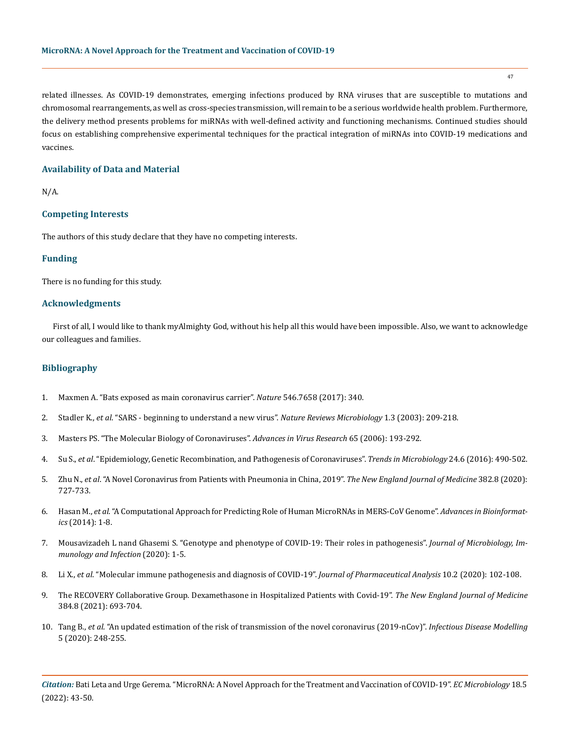related illnesses. As COVID-19 demonstrates, emerging infections produced by RNA viruses that are susceptible to mutations and chromosomal rearrangements, as well as cross-species transmission, will remain to be a serious worldwide health problem. Furthermore, the delivery method presents problems for miRNAs with well-defined activity and functioning mechanisms. Continued studies should focus on establishing comprehensive experimental techniques for the practical integration of miRNAs into COVID-19 medications and vaccines.

## **Availability of Data and Material**

N/A.

# **Competing Interests**

The authors of this study declare that they have no competing interests.

## **Funding**

There is no funding for this study.

# **Acknowledgments**

First of all, I would like to thank myAlmighty God, without his help all this would have been impossible. Also, we want to acknowledge our colleagues and families.

## **Bibliography**

- 1. [Maxmen A. "Bats exposed as main coronavirus carrier".](https://www.ncbi.nlm.nih.gov/pmc/articles/PMC6356540/) *Nature* 546.7658 (2017): 340.
- 2. Stadler K., *et al*[. "SARS beginning to understand a new virus".](https://pubmed.ncbi.nlm.nih.gov/15035025/) *Nature Reviews Microbiology* 1.3 (2003): 209-218.
- 3. [Masters PS. "The Molecular Biology of Coronaviruses".](https://pubmed.ncbi.nlm.nih.gov/16877062/) *Advances in Virus Research* 65 (2006): 193-292.
- 4. Su S., *et al*[. "Epidemiology, Genetic Recombination, and Pathogenesis of Coronaviruses".](https://pubmed.ncbi.nlm.nih.gov/27012512/) *Trends in Microbiology* 24.6 (2016): 490-502.
- 5. Zhu N., *et al*[. "A Novel Coronavirus from Patients with Pneumonia in China, 2019".](https://www.nejm.org/doi/full/10.1056/nejmoa2001017) *The New England Journal of Medicine* 382.8 (2020): [727-733.](https://www.nejm.org/doi/full/10.1056/nejmoa2001017)
- 6. Hasan M., *et al*[. "A Computational Approach for Predicting Role of Human MicroRNAs in MERS-CoV Genome".](https://pubmed.ncbi.nlm.nih.gov/25610462/) *Advances in Bioinformatics* [\(2014\): 1-8.](https://pubmed.ncbi.nlm.nih.gov/25610462/)
- 7. [Mousavizadeh L nand Ghasemi S. "Genotype and phenotype of COVID-19: Their roles in pathogenesis".](https://pubmed.ncbi.nlm.nih.gov/32265180/) *Journal of Microbiology, Im[munology and Infection](https://pubmed.ncbi.nlm.nih.gov/32265180/)* (2020): 1-5.
- 8. Li X., *et al*[. "Molecular immune pathogenesis and diagnosis of COVID-19".](https://www.sciencedirect.com/science/article/pii/S2095177920302045) *Journal of Pharmaceutical Analysis* 10.2 (2020): 102-108.
- 9. [The RECOVERY Collaborative Group. Dexamethasone in Hospitalized Patients with Covid-19".](https://www.nejm.org/doi/10.1056/NEJMoa2021436) *The New England Journal of Medicine* [384.8 \(2021\): 693-704.](https://www.nejm.org/doi/10.1056/NEJMoa2021436)
- 10. Tang B., *et al*[. "An updated estimation of the risk of transmission of the novel coronavirus \(2019-nCov\)".](https://www.sciencedirect.com/science/article/pii/S246804272030004X) *Infectious Disease Modelling* [5 \(2020\): 248-255.](https://www.sciencedirect.com/science/article/pii/S246804272030004X)

*Citation:* Bati Leta and Urge Gerema*.* "MicroRNA: A Novel Approach for the Treatment and Vaccination of COVID-19". *EC Microbiology* 18.5 (2022): 43-50.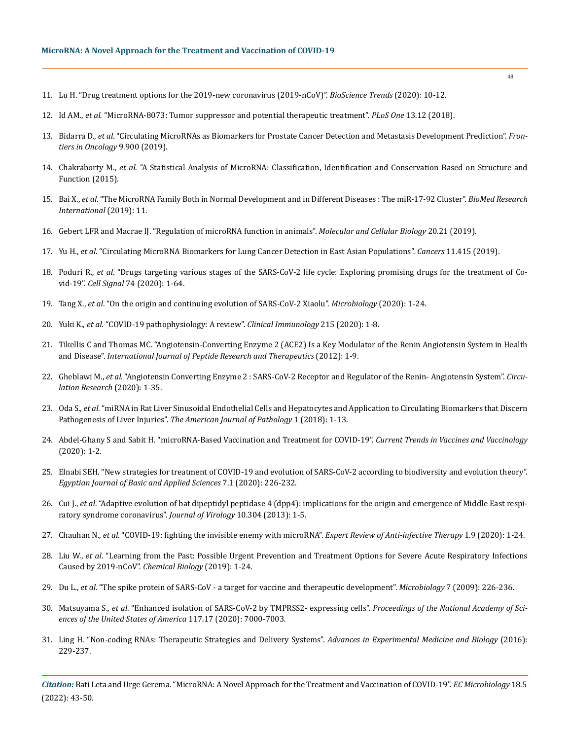- 11. [Lu H. "Drug treatment options for the 2019-new coronavirus \(2019-nCoV\)".](https://pubmed.ncbi.nlm.nih.gov/31996494/) *BioScience Trends* (2020): 10-12.
- 12. Id AM., *et al*[. "MicroRNA-8073: Tumor suppressor and potential therapeutic treatment".](https://www.ncbi.nlm.nih.gov/pmc/articles/PMC6307750/) *PLoS One* 13.12 (2018).
- 13. Bidarra D., *et al*[. "Circulating MicroRNAs as Biomarkers for Prostate Cancer Detection and Metastasis Development Prediction".](https://www.ncbi.nlm.nih.gov/pmc/articles/PMC6749029/) *Fron[tiers in Oncology](https://www.ncbi.nlm.nih.gov/pmc/articles/PMC6749029/)* 9.900 (2019).
- 14. Chakraborty M., *et al*[. "A Statistical Analysis of MicroRNA: Classification, Identification and Conservation Based on Structure and](https://link.springer.com/chapter/10.1007/978-3-319-17329-0_13)  [Function \(2015\).](https://link.springer.com/chapter/10.1007/978-3-319-17329-0_13)
- 15. Bai X., *et al*[. "The MicroRNA Family Both in Normal Development and in Different Diseases : The miR-17-92 Cluster".](https://www.hindawi.com/journals/bmri/2019/9450240/) *BioMed Research [International](https://www.hindawi.com/journals/bmri/2019/9450240/)* (2019): 11.
- 16. [Gebert LFR and Macrae IJ. "Regulation of microRNA function in animals".](https://www.nature.com/articles/s41580-018-0045-7) *Molecular and Cellular Biology* 20.21 (2019).
- 17. Yu H., *et al*[. "Circulating MicroRNA Biomarkers for Lung Cancer Detection in East Asian Populations".](https://pubmed.ncbi.nlm.nih.gov/30909610/) *Cancers* 11.415 (2019).
- 18. Poduri R., *et al*[. "Drugs targeting various stages of the SARS-CoV-2 life cycle: Exploring promising drugs for the treatment of Co](https://pubmed.ncbi.nlm.nih.gov/32711111/)vid-19". *Cell Signal* [74 \(2020\): 1-64.](https://pubmed.ncbi.nlm.nih.gov/32711111/)
- 19. Tang X., *et al*[. "On the origin and continuing evolution of SARS-CoV-2 Xiaolu".](https://academic.oup.com/nsr/article/7/6/1012/5775463) *Microbiology* (2020): 1-24.
- 20. Yuki K., *et al*[. "COVID-19 pathophysiology: A review".](https://www.ncbi.nlm.nih.gov/pmc/articles/PMC7169933/) *Clinical Immunology* 215 (2020): 1-8.
- 21. [Tikellis C and Thomas MC. "Angiotensin-Converting Enzyme 2 \(ACE2\) Is a Key Modulator of the Renin Angiotensin System in Health](https://pubmed.ncbi.nlm.nih.gov/22536270/)  and Disease". *[International Journal of Peptide Research and Therapeutics](https://pubmed.ncbi.nlm.nih.gov/22536270/)* (2012): 1-9.
- 22. Gheblawi M., *et al*[. "Angiotensin Converting Enzyme 2 : SARS-CoV-2 Receptor and Regulator of the Renin- Angiotensin System".](https://www.ahajournals.org/doi/10.1161/CIRCRESAHA.120.317015) *Circu[lation Research](https://www.ahajournals.org/doi/10.1161/CIRCRESAHA.120.317015)* (2020): 1-35.
- 23. Oda S., *et al*[. "miRNA in Rat Liver Sinusoidal Endothelial Cells and Hepatocytes and Application to Circulating Biomarkers that Discern](https://pubmed.ncbi.nlm.nih.gov/29353062/)  Pathogenesis of Liver Injuries". *[The American Journal of Pathology](https://pubmed.ncbi.nlm.nih.gov/29353062/)* 1 (2018): 1-13.
- 24. [Abdel-Ghany S and Sabit H. "microRNA-Based Vaccination and Treatment for COVID-19".](https://www.thermofisher.com/in/en/home/life-science/pcr/real-time-pcr/real-time-pcr-assays/mirna-ncrna-taqman-assays.html?gclid=EAIaIQobChMI_qX5p6-g9wIVEZJmAh1jxAMHEAAYASAAEgJ6ovD_BwE&cid=gsd_pcr_sbu_r01_us_cp1297_pjt4711_gsd00000_0se_gaw_nt_awa&s_kwcid=AL!3652!3!357168792957!b!!g!!microrna%20qpcr&ef_id=EAIaIQobChMI_qX5p6-g9wIVEZJmAh1jxAMHEAAYASAAEgJ6ovD_BwE:G:s&s_kwcid=AL!3652!3!357168792957!b!!g!!microrna%20qpcr) *Current Trends in Vaccines and Vaccinology* [\(2020\): 1-2.](https://www.thermofisher.com/in/en/home/life-science/pcr/real-time-pcr/real-time-pcr-assays/mirna-ncrna-taqman-assays.html?gclid=EAIaIQobChMI_qX5p6-g9wIVEZJmAh1jxAMHEAAYASAAEgJ6ovD_BwE&cid=gsd_pcr_sbu_r01_us_cp1297_pjt4711_gsd00000_0se_gaw_nt_awa&s_kwcid=AL!3652!3!357168792957!b!!g!!microrna%20qpcr&ef_id=EAIaIQobChMI_qX5p6-g9wIVEZJmAh1jxAMHEAAYASAAEgJ6ovD_BwE:G:s&s_kwcid=AL!3652!3!357168792957!b!!g!!microrna%20qpcr)
- 25. [Elnabi SEH. "New strategies for treatment of COVID-19 and evolution of SARS-CoV-2 according to biodiversity and evolution theory".](https://www.tandfonline.com/doi/full/10.1080/2314808X.2020.1789815)  *[Egyptian Journal of Basic and Applied Sciences](https://www.tandfonline.com/doi/full/10.1080/2314808X.2020.1789815)* 7.1 (2020): 226-232.
- 26. Cui J., *et al*[. "Adaptive evolution of bat dipeptidyl peptidase 4 \(dpp4\): implications for the origin and emergence of Middle East respi](https://virologyj.biomedcentral.com/articles/10.1186/1743-422X-10-304)[ratory syndrome coronavirus".](https://virologyj.biomedcentral.com/articles/10.1186/1743-422X-10-304) *Journal of Virology* 10.304 (2013): 1-5.
- 27. Chauhan N., *et al*[. "COVID-19: fighting the invisible enemy with microRNA".](https://pubmed.ncbi.nlm.nih.gov/32814446/) *Expert Review of Anti-infective Therapy* 1.9 (2020): 1-24.
- 28. Liu W., *et al*[. "Learning from the Past: Possible Urgent Prevention and Treatment Options for Severe Acute Respiratory Infections](https://pubmed.ncbi.nlm.nih.gov/32022370/)  [Caused by 2019-nCoV".](https://pubmed.ncbi.nlm.nih.gov/32022370/) *Chemical Biology* (2019): 1-24.
- 29. Du L., *et al*[. "The spike protein of SARS-CoV a target for vaccine and therapeutic development".](https://www.nature.com/articles/nrmicro2090) *Microbiology* 7 (2009): 226-236.
- 30. Matsuyama S., *et al*[. "Enhanced isolation of SARS-CoV-2 by TMPRSS2- expressing cells".](https://www.pnas.org/doi/10.1073/pnas.2002589117) *Proceedings of the National Academy of Sci[ences of the United States of America](https://www.pnas.org/doi/10.1073/pnas.2002589117)* 117.17 (2020): 7000-7003.
- 31. [Ling H. "Non-coding RNAs: Therapeutic Strategies and Delivery Systems".](https://www.thermofisher.com/in/en/home/life-science/pcr/real-time-pcr/real-time-pcr-assays/mirna-ncrna-taqman-assays.html?gclid=EAIaIQobChMI-JOA0K-g9wIVVh0rCh3gwwVAEAAYASAAEgLTzPD_BwE&cid=gsd_pcr_sbu_r01_us_cp1297_pjt4711_gsd00000_0se_gaw_nt_awa&s_kwcid=AL!3652!3!322373689625!b!!g!!microrna&ef_id=EAIaIQobChMI-JOA0K-g9wIVVh0rCh3gwwVAEAAYASAAEgLTzPD_BwE:G:s&s_kwcid=AL!3652!3!322373689625!b!!g!!microrna) *Advances in Experimental Medicine and Biology* (2016): [229-237.](https://www.thermofisher.com/in/en/home/life-science/pcr/real-time-pcr/real-time-pcr-assays/mirna-ncrna-taqman-assays.html?gclid=EAIaIQobChMI-JOA0K-g9wIVVh0rCh3gwwVAEAAYASAAEgLTzPD_BwE&cid=gsd_pcr_sbu_r01_us_cp1297_pjt4711_gsd00000_0se_gaw_nt_awa&s_kwcid=AL!3652!3!322373689625!b!!g!!microrna&ef_id=EAIaIQobChMI-JOA0K-g9wIVVh0rCh3gwwVAEAAYASAAEgLTzPD_BwE:G:s&s_kwcid=AL!3652!3!322373689625!b!!g!!microrna)

*Citation:* Bati Leta and Urge Gerema*.* "MicroRNA: A Novel Approach for the Treatment and Vaccination of COVID-19". *EC Microbiology* 18.5 (2022): 43-50.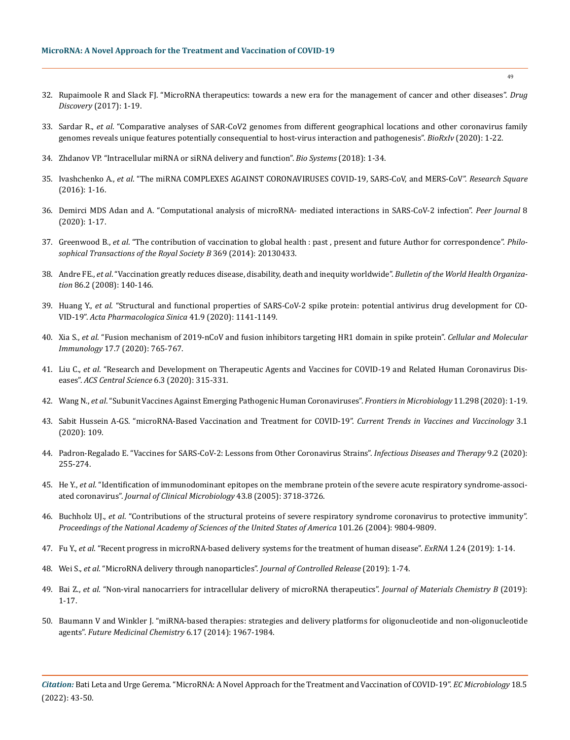- 32. [Rupaimoole R and Slack FJ. "MicroRNA therapeutics: towards a new era for the management of cancer and other diseases".](https://www.nature.com/articles/nrd.2016.246) *Drug Discovery* [\(2017\): 1-19.](https://www.nature.com/articles/nrd.2016.246)
- 33. Sardar R., *et al*[. "Comparative analyses of SAR-CoV2 genomes from different geographical locations and other coronavirus family](https://www.biorxiv.org/content/10.1101/2020.03.21.001586v1)  [genomes reveals unique features potentially consequential to host-virus interaction and pathogenesis".](https://www.biorxiv.org/content/10.1101/2020.03.21.001586v1) *BioRxIv* (2020): 1-22.
- 34. [Zhdanov VP. "Intracellular miRNA or siRNA delivery and function".](https://pubmed.ncbi.nlm.nih.gov/29859208/) *Bio Systems* (2018): 1-34.
- 35. Ivashchenko A., *et al*[. "The miRNA COMPLEXES AGAINST CORONAVIRUSES COVID-19, SARS-CoV, and MERS-CoV".](https://www.ncbi.nlm.nih.gov/pmc/articles/PMC7989380/) *Research Square* [\(2016\): 1-16.](https://www.ncbi.nlm.nih.gov/pmc/articles/PMC7989380/)
- 36. [Demirci MDS Adan and A. "Computational analysis of microRNA- mediated interactions in SARS-CoV-2 infection".](https://www.ncbi.nlm.nih.gov/pmc/articles/PMC7278893/) *Peer Journal* 8 [\(2020\): 1-17.](https://www.ncbi.nlm.nih.gov/pmc/articles/PMC7278893/)
- 37. Greenwood B., *et al*[. "The contribution of vaccination to global health : past , present and future Author for correspondence".](https://pubmed.ncbi.nlm.nih.gov/24821919/) *Philo[sophical Transactions of the Royal Society B](https://pubmed.ncbi.nlm.nih.gov/24821919/)* 369 (2014): 20130433.
- 38. Andre FE., *et al*[. "Vaccination greatly reduces disease, disability, death and inequity worldwide".](https://pubmed.ncbi.nlm.nih.gov/18297169/) *Bulletin of the World Health Organization* [86.2 \(2008\): 140-146.](https://pubmed.ncbi.nlm.nih.gov/18297169/)
- 39. Huang Y., *et al*[. "Structural and functional properties of SARS-CoV-2 spike protein: potential antivirus drug development for CO-](https://www.nature.com/articles/s41401-020-0485-4)VID-19". *[Acta Pharmacologica Sinica](https://www.nature.com/articles/s41401-020-0485-4)* 41.9 (2020): 1141-1149.
- 40. Xia S., *et al*[. "Fusion mechanism of 2019-nCoV and fusion inhibitors targeting HR1 domain in spike protein".](https://www.nature.com/articles/s41423-020-0374-2) *Cellular and Molecular Immunology* [17.7 \(2020\): 765-767.](https://www.nature.com/articles/s41423-020-0374-2)
- 41. Liu C., *et al*[. "Research and Development on Therapeutic Agents and Vaccines for COVID-19 and Related Human Coronavirus Dis](https://pubs.acs.org/doi/10.1021/acscentsci.0c00272)eases". *[ACS Central Science](https://pubs.acs.org/doi/10.1021/acscentsci.0c00272)* 6.3 (2020): 315-331.
- 42. Wang N., *et al*[. "Subunit Vaccines Against Emerging Pathogenic Human Coronaviruses".](https://www.frontiersin.org/articles/10.3389/fmicb.2020.00298/full) *Frontiers in Microbiology* 11.298 (2020): 1-19.
- 43. [Sabit Hussein A-GS. "microRNA-Based Vaccination and Treatment for COVID-19".](https://www.boffinaccess.com/currents-trends-in-vaccines-vaccinology/microrna-based-vaccination-and-3-109) *Current Trends in Vaccines and Vaccinology* 3.1 [\(2020\): 109.](https://www.boffinaccess.com/currents-trends-in-vaccines-vaccinology/microrna-based-vaccination-and-3-109)
- 44. [Padron-Regalado E. "Vaccines for SARS-CoV-2: Lessons from Other Coronavirus Strains".](https://www.ncbi.nlm.nih.gov/pmc/articles/PMC7177048/) *Infectious Diseases and Therapy* 9.2 (2020): [255-274.](https://www.ncbi.nlm.nih.gov/pmc/articles/PMC7177048/)
- 45. He Y., *et al*[. "Identification of immunodominant epitopes on the membrane protein of the severe acute respiratory syndrome-associ](https://www.ncbi.nlm.nih.gov/pmc/articles/PMC1234014/)ated coronavirus". *[Journal of Clinical Microbiology](https://www.ncbi.nlm.nih.gov/pmc/articles/PMC1234014/)* 43.8 (2005): 3718-3726.
- 46. Buchholz UJ., *et al*[. "Contributions of the structural proteins of severe respiratory syndrome coronavirus to protective immunity".](https://pubmed.ncbi.nlm.nih.gov/15210961/)  *[Proceedings of the National Academy of Sciences of the United States of America](https://pubmed.ncbi.nlm.nih.gov/15210961/)* 101.26 (2004): 9804-9809.
- 47. Fu Y., *et al*[. "Recent progress in microRNA-based delivery systems for the treatment of human disease".](https://exrna.biomedcentral.com/track/pdf/10.1186/s41544-019-0024-y.pdf) *ExRNA* 1.24 (2019): 1-14.
- 48. Wei S., *et al*[. "MicroRNA delivery through nanoparticles".](https://pubmed.ncbi.nlm.nih.gov/31622695/) *Journal of Controlled Release* (2019): 1-74.
- 49. Bai Z., *et al*[. "Non-viral nanocarriers for intracellular delivery of microRNA therapeutics".](https://pubs.rsc.org/en/content/articlelanding/2019/tb/c8tb02946f) *Journal of Materials Chemistry B* (2019): [1-17.](https://pubs.rsc.org/en/content/articlelanding/2019/tb/c8tb02946f)
- 50. [Baumann V and Winkler J. "miRNA-based therapies: strategies and delivery platforms for oligonucleotide and non-oligonucleotide](https://pubmed.ncbi.nlm.nih.gov/25495987/)  agents". *[Future Medicinal Chemistry](https://pubmed.ncbi.nlm.nih.gov/25495987/)* 6.17 (2014): 1967-1984.

*Citation:* Bati Leta and Urge Gerema*.* "MicroRNA: A Novel Approach for the Treatment and Vaccination of COVID-19". *EC Microbiology* 18.5 (2022): 43-50.